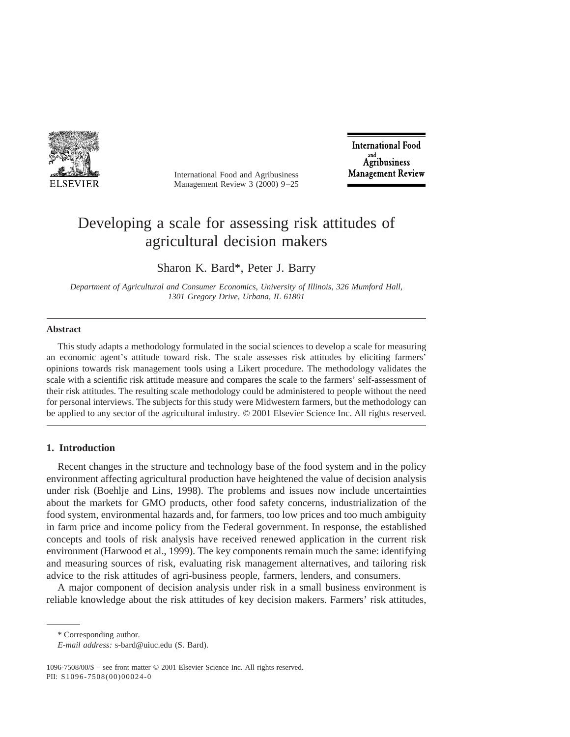

International Food and Agribusiness Management Review 3 (2000) 9–25

**International Food** Agribusiness **Management Review** 

# Developing a scale for assessing risk attitudes of agricultural decision makers

Sharon K. Bard\*, Peter J. Barry

*Department of Agricultural and Consumer Economics, University of Illinois, 326 Mumford Hall, 1301 Gregory Drive, Urbana, IL 61801*

#### **Abstract**

This study adapts a methodology formulated in the social sciences to develop a scale for measuring an economic agent's attitude toward risk. The scale assesses risk attitudes by eliciting farmers' opinions towards risk management tools using a Likert procedure. The methodology validates the scale with a scientific risk attitude measure and compares the scale to the farmers' self-assessment of their risk attitudes. The resulting scale methodology could be administered to people without the need for personal interviews. The subjects for this study were Midwestern farmers, but the methodology can be applied to any sector of the agricultural industry. © 2001 Elsevier Science Inc. All rights reserved.

#### **1. Introduction**

Recent changes in the structure and technology base of the food system and in the policy environment affecting agricultural production have heightened the value of decision analysis under risk (Boehlje and Lins, 1998). The problems and issues now include uncertainties about the markets for GMO products, other food safety concerns, industrialization of the food system, environmental hazards and, for farmers, too low prices and too much ambiguity in farm price and income policy from the Federal government. In response, the established concepts and tools of risk analysis have received renewed application in the current risk environment (Harwood et al., 1999). The key components remain much the same: identifying and measuring sources of risk, evaluating risk management alternatives, and tailoring risk advice to the risk attitudes of agri-business people, farmers, lenders, and consumers.

A major component of decision analysis under risk in a small business environment is reliable knowledge about the risk attitudes of key decision makers. Farmers' risk attitudes,

<sup>\*</sup> Corresponding author.

*E-mail address:* s-bard@uiuc.edu (S. Bard).

<sup>1096-7508/00/\$ –</sup> see front matter © 2001 Elsevier Science Inc. All rights reserved. PII: S1096-7508(00)00024-0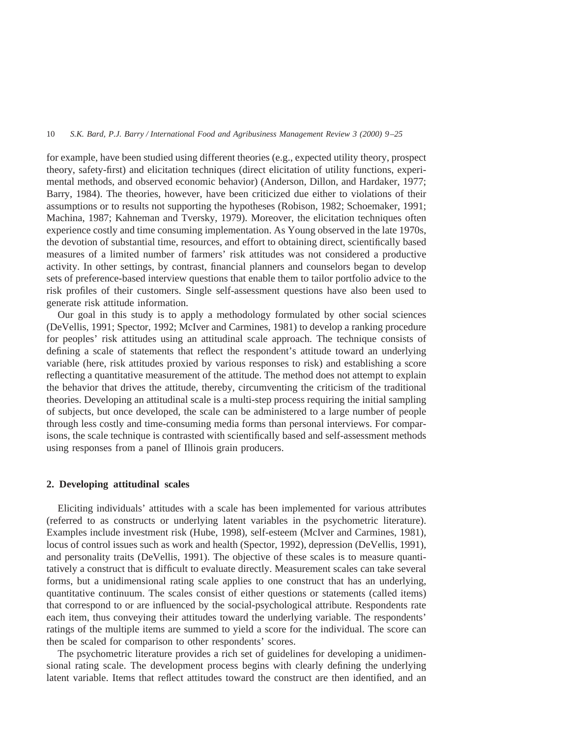for example, have been studied using different theories (e.g., expected utility theory, prospect theory, safety-first) and elicitation techniques (direct elicitation of utility functions, experimental methods, and observed economic behavior) (Anderson, Dillon, and Hardaker, 1977; Barry, 1984). The theories, however, have been criticized due either to violations of their assumptions or to results not supporting the hypotheses (Robison, 1982; Schoemaker, 1991; Machina, 1987; Kahneman and Tversky, 1979). Moreover, the elicitation techniques often experience costly and time consuming implementation. As Young observed in the late 1970s, the devotion of substantial time, resources, and effort to obtaining direct, scientifically based measures of a limited number of farmers' risk attitudes was not considered a productive activity. In other settings, by contrast, financial planners and counselors began to develop sets of preference-based interview questions that enable them to tailor portfolio advice to the risk profiles of their customers. Single self-assessment questions have also been used to generate risk attitude information.

Our goal in this study is to apply a methodology formulated by other social sciences (DeVellis, 1991; Spector, 1992; McIver and Carmines, 1981) to develop a ranking procedure for peoples' risk attitudes using an attitudinal scale approach. The technique consists of defining a scale of statements that reflect the respondent's attitude toward an underlying variable (here, risk attitudes proxied by various responses to risk) and establishing a score reflecting a quantitative measurement of the attitude. The method does not attempt to explain the behavior that drives the attitude, thereby, circumventing the criticism of the traditional theories. Developing an attitudinal scale is a multi-step process requiring the initial sampling of subjects, but once developed, the scale can be administered to a large number of people through less costly and time-consuming media forms than personal interviews. For comparisons, the scale technique is contrasted with scientifically based and self-assessment methods using responses from a panel of Illinois grain producers.

### **2. Developing attitudinal scales**

Eliciting individuals' attitudes with a scale has been implemented for various attributes (referred to as constructs or underlying latent variables in the psychometric literature). Examples include investment risk (Hube, 1998), self-esteem (McIver and Carmines, 1981), locus of control issues such as work and health (Spector, 1992), depression (DeVellis, 1991), and personality traits (DeVellis, 1991). The objective of these scales is to measure quantitatively a construct that is difficult to evaluate directly. Measurement scales can take several forms, but a unidimensional rating scale applies to one construct that has an underlying, quantitative continuum. The scales consist of either questions or statements (called items) that correspond to or are influenced by the social-psychological attribute. Respondents rate each item, thus conveying their attitudes toward the underlying variable. The respondents' ratings of the multiple items are summed to yield a score for the individual. The score can then be scaled for comparison to other respondents' scores.

The psychometric literature provides a rich set of guidelines for developing a unidimensional rating scale. The development process begins with clearly defining the underlying latent variable. Items that reflect attitudes toward the construct are then identified, and an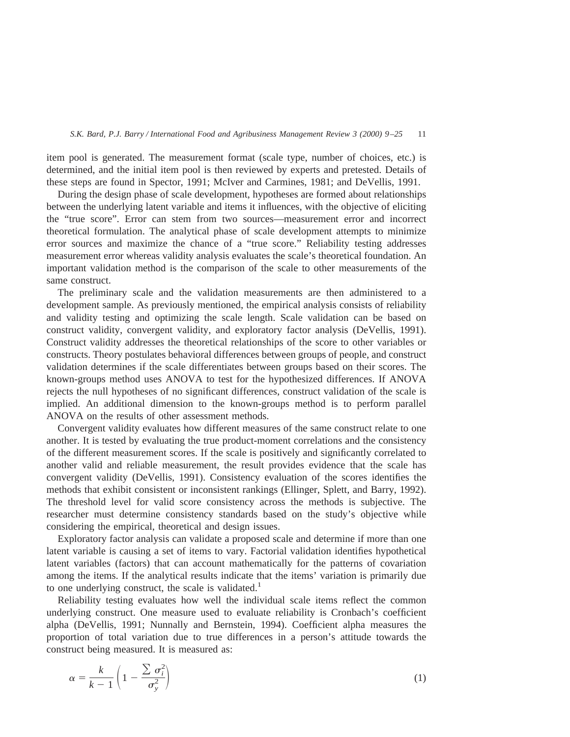item pool is generated. The measurement format (scale type, number of choices, etc.) is determined, and the initial item pool is then reviewed by experts and pretested. Details of these steps are found in Spector, 1991; McIver and Carmines, 1981; and DeVellis, 1991.

During the design phase of scale development, hypotheses are formed about relationships between the underlying latent variable and items it influences, with the objective of eliciting the "true score". Error can stem from two sources—measurement error and incorrect theoretical formulation. The analytical phase of scale development attempts to minimize error sources and maximize the chance of a "true score." Reliability testing addresses measurement error whereas validity analysis evaluates the scale's theoretical foundation. An important validation method is the comparison of the scale to other measurements of the same construct.

The preliminary scale and the validation measurements are then administered to a development sample. As previously mentioned, the empirical analysis consists of reliability and validity testing and optimizing the scale length. Scale validation can be based on construct validity, convergent validity, and exploratory factor analysis (DeVellis, 1991). Construct validity addresses the theoretical relationships of the score to other variables or constructs. Theory postulates behavioral differences between groups of people, and construct validation determines if the scale differentiates between groups based on their scores. The known-groups method uses ANOVA to test for the hypothesized differences. If ANOVA rejects the null hypotheses of no significant differences, construct validation of the scale is implied. An additional dimension to the known-groups method is to perform parallel ANOVA on the results of other assessment methods.

Convergent validity evaluates how different measures of the same construct relate to one another. It is tested by evaluating the true product-moment correlations and the consistency of the different measurement scores. If the scale is positively and significantly correlated to another valid and reliable measurement, the result provides evidence that the scale has convergent validity (DeVellis, 1991). Consistency evaluation of the scores identifies the methods that exhibit consistent or inconsistent rankings (Ellinger, Splett, and Barry, 1992). The threshold level for valid score consistency across the methods is subjective. The researcher must determine consistency standards based on the study's objective while considering the empirical, theoretical and design issues.

Exploratory factor analysis can validate a proposed scale and determine if more than one latent variable is causing a set of items to vary. Factorial validation identifies hypothetical latent variables (factors) that can account mathematically for the patterns of covariation among the items. If the analytical results indicate that the items' variation is primarily due to one underlying construct, the scale is validated.<sup>1</sup>

Reliability testing evaluates how well the individual scale items reflect the common underlying construct. One measure used to evaluate reliability is Cronbach's coefficient alpha (DeVellis, 1991; Nunnally and Bernstein, 1994). Coefficient alpha measures the proportion of total variation due to true differences in a person's attitude towards the construct being measured. It is measured as:

$$
\alpha = \frac{k}{k-1} \left( 1 - \frac{\sum \sigma_i^2}{\sigma_y^2} \right) \tag{1}
$$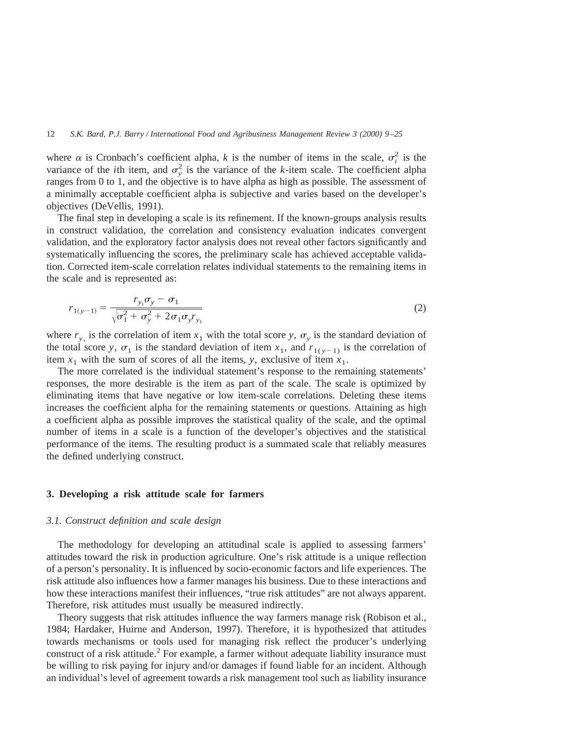where  $\alpha$  is Cronbach's coefficient alpha, k is the number of items in the scale,  $\sigma_i^2$  is the variance of the *i*th item, and  $\sigma_y^2$  is the variance of the *k*-item scale. The coefficient alpha ranges from 0 to 1, and the objective is to have alpha as high as possible. The assessment of a minimally acceptable coefficient alpha is subjective and varies based on the developer's objectives (DeVellis, 1991).

The final step in developing a scale is its refinement. If the known-groups analysis results in construct validation, the correlation and consistency evaluation indicates convergent validation, and the exploratory factor analysis does not reveal other factors significantly and systematically influencing the scores, the preliminary scale has achieved acceptable validation. Corrected item-scale correlation relates individual statements to the remaining items in the scale and is represented as:

$$
r_{1(y-1)} = \frac{r_{y_1} \sigma_y - \sigma_1}{\sqrt{\sigma_1^2 + \sigma_y^2 + 2\sigma_1 \sigma_y r_{y_1}}}
$$
(2)

where  $r_{y_1}$  is the correlation of item  $x_1$  with the total score *y*,  $\sigma_y$  is the standard deviation of the total score *y*,  $\sigma_1$  is the standard deviation of item  $x_1$ , and  $r_1$ <sub>( $y-1$ )</sub> is the correlation of item  $x_1$  with the sum of scores of all the items, *y*, exclusive of item  $x_1$ .

The more correlated is the individual statement's response to the remaining statements' responses, the more desirable is the item as part of the scale. The scale is optimized by eliminating items that have negative or low item-scale correlations. Deleting these items increases the coefficient alpha for the remaining statements or questions. Attaining as high a coefficient alpha as possible improves the statistical quality of the scale, and the optimal number of items in a scale is a function of the developer's objectives and the statistical performance of the items. The resulting product is a summated scale that reliably measures the defined underlying construct.

#### **3. Developing a risk attitude scale for farmers**

#### *3.1. Construct definition and scale design*

The methodology for developing an attitudinal scale is applied to assessing farmers' attitudes toward the risk in production agriculture. One's risk attitude is a unique reflection of a person's personality. It is influenced by socio-economic factors and life experiences. The risk attitude also influences how a farmer manages his business. Due to these interactions and how these interactions manifest their influences, "true risk attitudes" are not always apparent. Therefore, risk attitudes must usually be measured indirectly.

Theory suggests that risk attitudes influence the way farmers manage risk (Robison et al., 1984; Hardaker, Huirne and Anderson, 1997). Therefore, it is hypothesized that attitudes towards mechanisms or tools used for managing risk reflect the producer's underlying construct of a risk attitude.<sup>2</sup> For example, a farmer without adequate liability insurance must be willing to risk paying for injury and/or damages if found liable for an incident. Although an individual's level of agreement towards a risk management tool such as liability insurance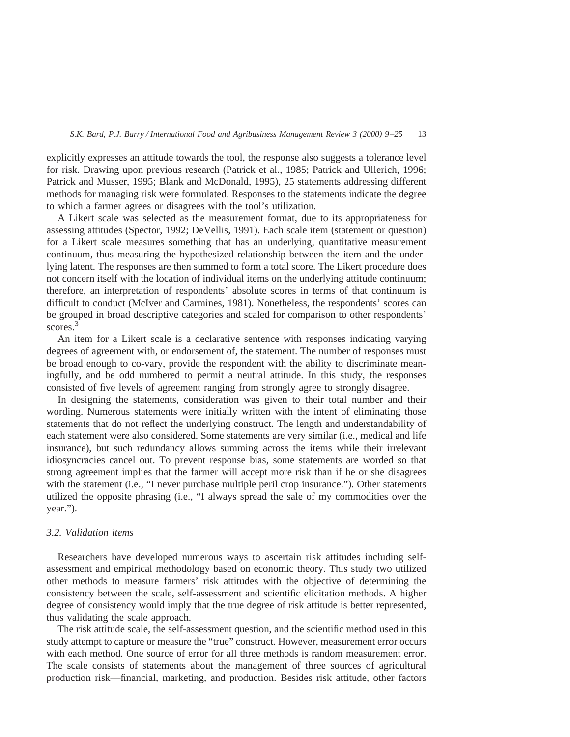explicitly expresses an attitude towards the tool, the response also suggests a tolerance level for risk. Drawing upon previous research (Patrick et al., 1985; Patrick and Ullerich, 1996; Patrick and Musser, 1995; Blank and McDonald, 1995), 25 statements addressing different methods for managing risk were formulated. Responses to the statements indicate the degree to which a farmer agrees or disagrees with the tool's utilization.

A Likert scale was selected as the measurement format, due to its appropriateness for assessing attitudes (Spector, 1992; DeVellis, 1991). Each scale item (statement or question) for a Likert scale measures something that has an underlying, quantitative measurement continuum, thus measuring the hypothesized relationship between the item and the underlying latent. The responses are then summed to form a total score. The Likert procedure does not concern itself with the location of individual items on the underlying attitude continuum; therefore, an interpretation of respondents' absolute scores in terms of that continuum is difficult to conduct (McIver and Carmines, 1981). Nonetheless, the respondents' scores can be grouped in broad descriptive categories and scaled for comparison to other respondents' scores.<sup>3</sup>

An item for a Likert scale is a declarative sentence with responses indicating varying degrees of agreement with, or endorsement of, the statement. The number of responses must be broad enough to co-vary, provide the respondent with the ability to discriminate meaningfully, and be odd numbered to permit a neutral attitude. In this study, the responses consisted of five levels of agreement ranging from strongly agree to strongly disagree.

In designing the statements, consideration was given to their total number and their wording. Numerous statements were initially written with the intent of eliminating those statements that do not reflect the underlying construct. The length and understandability of each statement were also considered. Some statements are very similar (i.e., medical and life insurance), but such redundancy allows summing across the items while their irrelevant idiosyncracies cancel out. To prevent response bias, some statements are worded so that strong agreement implies that the farmer will accept more risk than if he or she disagrees with the statement (i.e., "I never purchase multiple peril crop insurance."). Other statements utilized the opposite phrasing (i.e., "I always spread the sale of my commodities over the year.").

#### *3.2. Validation items*

Researchers have developed numerous ways to ascertain risk attitudes including selfassessment and empirical methodology based on economic theory. This study two utilized other methods to measure farmers' risk attitudes with the objective of determining the consistency between the scale, self-assessment and scientific elicitation methods. A higher degree of consistency would imply that the true degree of risk attitude is better represented, thus validating the scale approach.

The risk attitude scale, the self-assessment question, and the scientific method used in this study attempt to capture or measure the "true" construct. However, measurement error occurs with each method. One source of error for all three methods is random measurement error. The scale consists of statements about the management of three sources of agricultural production risk—financial, marketing, and production. Besides risk attitude, other factors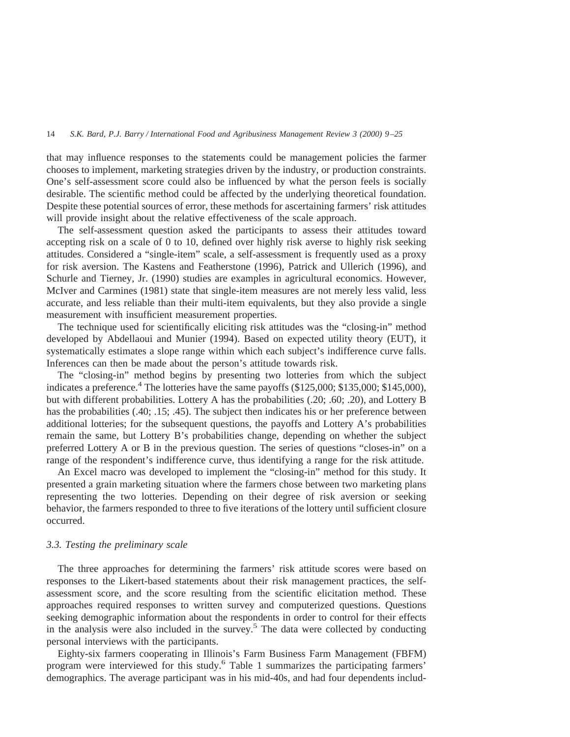that may influence responses to the statements could be management policies the farmer chooses to implement, marketing strategies driven by the industry, or production constraints. One's self-assessment score could also be influenced by what the person feels is socially desirable. The scientific method could be affected by the underlying theoretical foundation. Despite these potential sources of error, these methods for ascertaining farmers' risk attitudes will provide insight about the relative effectiveness of the scale approach.

The self-assessment question asked the participants to assess their attitudes toward accepting risk on a scale of 0 to 10, defined over highly risk averse to highly risk seeking attitudes. Considered a "single-item" scale, a self-assessment is frequently used as a proxy for risk aversion. The Kastens and Featherstone (1996), Patrick and Ullerich (1996), and Schurle and Tierney, Jr. (1990) studies are examples in agricultural economics. However, McIver and Carmines (1981) state that single-item measures are not merely less valid, less accurate, and less reliable than their multi-item equivalents, but they also provide a single measurement with insufficient measurement properties.

The technique used for scientifically eliciting risk attitudes was the "closing-in" method developed by Abdellaoui and Munier (1994). Based on expected utility theory (EUT), it systematically estimates a slope range within which each subject's indifference curve falls. Inferences can then be made about the person's attitude towards risk.

The "closing-in" method begins by presenting two lotteries from which the subject indicates a preference.<sup>4</sup> The lotteries have the same payoffs  $(\$125,000; \$135,000; \$145,000)$ , but with different probabilities. Lottery A has the probabilities (.20; .60; .20), and Lottery B has the probabilities (.40; .15; .45). The subject then indicates his or her preference between additional lotteries; for the subsequent questions, the payoffs and Lottery A's probabilities remain the same, but Lottery B's probabilities change, depending on whether the subject preferred Lottery A or B in the previous question. The series of questions "closes-in" on a range of the respondent's indifference curve, thus identifying a range for the risk attitude.

An Excel macro was developed to implement the "closing-in" method for this study. It presented a grain marketing situation where the farmers chose between two marketing plans representing the two lotteries. Depending on their degree of risk aversion or seeking behavior, the farmers responded to three to five iterations of the lottery until sufficient closure occurred.

### *3.3. Testing the preliminary scale*

The three approaches for determining the farmers' risk attitude scores were based on responses to the Likert-based statements about their risk management practices, the selfassessment score, and the score resulting from the scientific elicitation method. These approaches required responses to written survey and computerized questions. Questions seeking demographic information about the respondents in order to control for their effects in the analysis were also included in the survey.5 The data were collected by conducting personal interviews with the participants.

Eighty-six farmers cooperating in Illinois's Farm Business Farm Management (FBFM) program were interviewed for this study.<sup>6</sup> Table 1 summarizes the participating farmers' demographics. The average participant was in his mid-40s, and had four dependents includ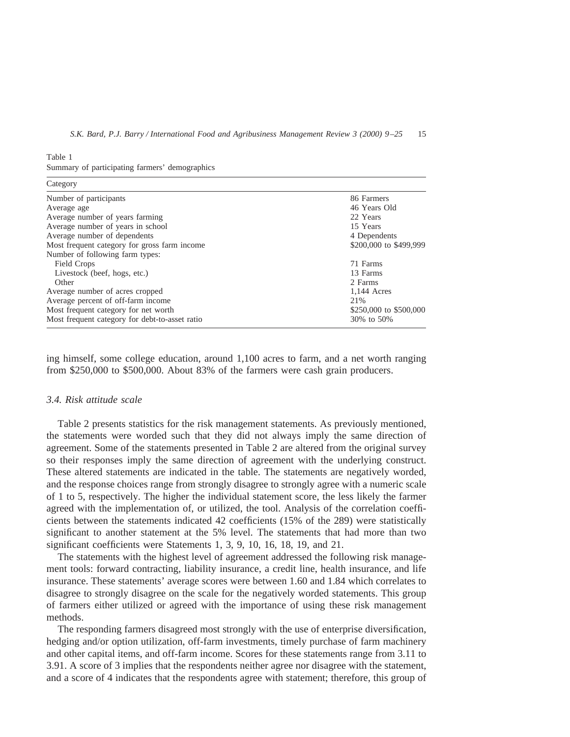Table 1

|  |  |  |  | Summary of participating farmers' demographics |
|--|--|--|--|------------------------------------------------|
|--|--|--|--|------------------------------------------------|

| Category                                       |                        |
|------------------------------------------------|------------------------|
| Number of participants                         | 86 Farmers             |
| Average age                                    | 46 Years Old           |
| Average number of years farming                | 22 Years               |
| Average number of years in school              | 15 Years               |
| Average number of dependents                   | 4 Dependents           |
| Most frequent category for gross farm income   | \$200,000 to \$499,999 |
| Number of following farm types:                |                        |
| Field Crops                                    | 71 Farms               |
| Livestock (beef, hogs, etc.)                   | 13 Farms               |
| Other                                          | 2 Farms                |
| Average number of acres cropped                | $1,144$ Acres          |
| Average percent of off-farm income             | 21%                    |
| Most frequent category for net worth           | \$250,000 to \$500,000 |
| Most frequent category for debt-to-asset ratio | 30% to 50%             |

ing himself, some college education, around 1,100 acres to farm, and a net worth ranging from \$250,000 to \$500,000. About 83% of the farmers were cash grain producers.

## *3.4. Risk attitude scale*

Table 2 presents statistics for the risk management statements. As previously mentioned, the statements were worded such that they did not always imply the same direction of agreement. Some of the statements presented in Table 2 are altered from the original survey so their responses imply the same direction of agreement with the underlying construct. These altered statements are indicated in the table. The statements are negatively worded, and the response choices range from strongly disagree to strongly agree with a numeric scale of 1 to 5, respectively. The higher the individual statement score, the less likely the farmer agreed with the implementation of, or utilized, the tool. Analysis of the correlation coefficients between the statements indicated 42 coefficients (15% of the 289) were statistically significant to another statement at the 5% level. The statements that had more than two significant coefficients were Statements 1, 3, 9, 10, 16, 18, 19, and 21.

The statements with the highest level of agreement addressed the following risk management tools: forward contracting, liability insurance, a credit line, health insurance, and life insurance. These statements' average scores were between 1.60 and 1.84 which correlates to disagree to strongly disagree on the scale for the negatively worded statements. This group of farmers either utilized or agreed with the importance of using these risk management methods.

The responding farmers disagreed most strongly with the use of enterprise diversification, hedging and/or option utilization, off-farm investments, timely purchase of farm machinery and other capital items, and off-farm income. Scores for these statements range from 3.11 to 3.91. A score of 3 implies that the respondents neither agree nor disagree with the statement, and a score of 4 indicates that the respondents agree with statement; therefore, this group of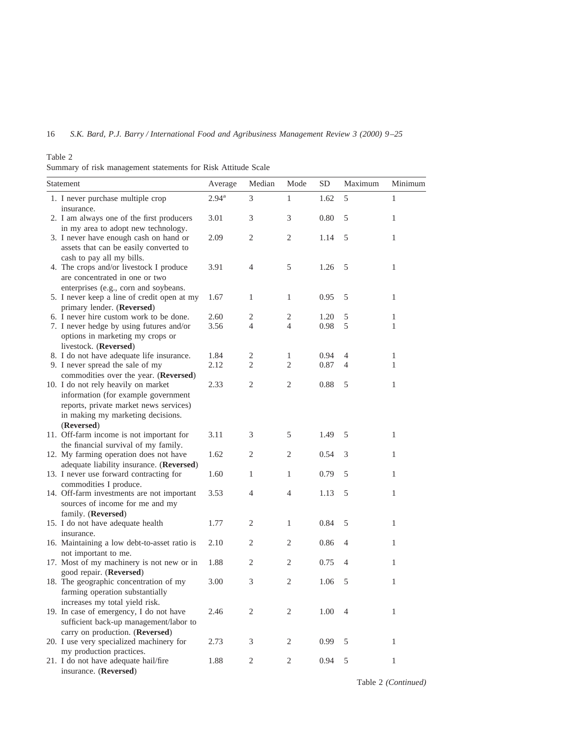|--|--|

Summary of risk management statements for Risk Attitude Scale

| Statement                                                                                                                                                 | Average        | Median         | Mode           | SD   | Maximum        | Minimum      |
|-----------------------------------------------------------------------------------------------------------------------------------------------------------|----------------|----------------|----------------|------|----------------|--------------|
| 1. I never purchase multiple crop<br>insurance.                                                                                                           | $2.94^{\rm a}$ | 3              | 1              | 1.62 | 5              | 1            |
| 2. I am always one of the first producers                                                                                                                 | 3.01           | 3              | 3              | 0.80 | 5              | 1            |
| in my area to adopt new technology.<br>3. I never have enough cash on hand or<br>assets that can be easily converted to                                   | 2.09           | 2              | 2              | 1.14 | 5              | 1            |
| cash to pay all my bills.                                                                                                                                 |                |                |                |      |                |              |
| 4. The crops and/or livestock I produce<br>are concentrated in one or two                                                                                 | 3.91           | 4              | 5              | 1.26 | 5              | $\mathbf{1}$ |
| enterprises (e.g., corn and soybeans.<br>5. I never keep a line of credit open at my<br>primary lender. (Reversed)                                        | 1.67           | 1              | 1              | 0.95 | 5              | 1            |
| 6. I never hire custom work to be done.                                                                                                                   | 2.60           | 2              | $\mathfrak{2}$ | 1.20 | 5              | 1            |
| 7. I never hedge by using futures and/or<br>options in marketing my crops or<br>livestock. (Reversed)                                                     | 3.56           | 4              | $\overline{4}$ | 0.98 | 5              | 1            |
| 8. I do not have adequate life insurance.                                                                                                                 | 1.84           | 2              | 1              | 0.94 | 4              | 1            |
| 9. I never spread the sale of my<br>commodities over the year. (Reversed)                                                                                 | 2.12           | 2              | $\mathfrak{2}$ | 0.87 | 4              | 1            |
| 10. I do not rely heavily on market<br>information (for example government<br>reports, private market news services)<br>in making my marketing decisions. | 2.33           | 2              | $\mathfrak{2}$ | 0.88 | 5              | 1            |
| (Reversed)<br>11. Off-farm income is not important for<br>the financial survival of my family.                                                            | 3.11           | 3              | 5              | 1.49 | 5              | 1            |
| 12. My farming operation does not have<br>adequate liability insurance. (Reversed)                                                                        | 1.62           | 2              | $\mathfrak{2}$ | 0.54 | 3              | $\mathbf{1}$ |
| 13. I never use forward contracting for<br>commodities I produce.                                                                                         | 1.60           | 1              | 1              | 0.79 | 5              | 1            |
| 14. Off-farm investments are not important<br>sources of income for me and my<br>family. (Reversed)                                                       | 3.53           | 4              | $\overline{4}$ | 1.13 | 5              | 1            |
| 15. I do not have adequate health<br>insurance.                                                                                                           | 1.77           | $\mathfrak{2}$ | $\mathbf{1}$   | 0.84 | 5              | 1            |
| 16. Maintaining a low debt-to-asset ratio is<br>not important to me.                                                                                      | 2.10           | 2              | $\mathfrak{2}$ | 0.86 | 4              | 1            |
| 17. Most of my machinery is not new or in<br>good repair. (Reversed)                                                                                      | 1.88           | 2              | $\mathfrak{2}$ | 0.75 | $\overline{4}$ | 1            |
| 18. The geographic concentration of my<br>farming operation substantially<br>increases my total yield risk.                                               | 3.00           | 3              | $\mathfrak{2}$ | 1.06 | 5              | 1            |
| 19. In case of emergency, I do not have<br>sufficient back-up management/labor to<br>carry on production. (Reversed)                                      | 2.46           | 2              | 2              | 1.00 | 4              | 1            |
| 20. I use very specialized machinery for<br>my production practices.                                                                                      | 2.73           | 3              | $\overline{c}$ | 0.99 | 5              | 1            |
| 21. I do not have adequate hail/fire<br>insurance. (Reversed)                                                                                             | 1.88           | $\overline{c}$ | $\mathfrak{2}$ | 0.94 | 5              | $\mathbf{1}$ |

Table 2 *(Continued)*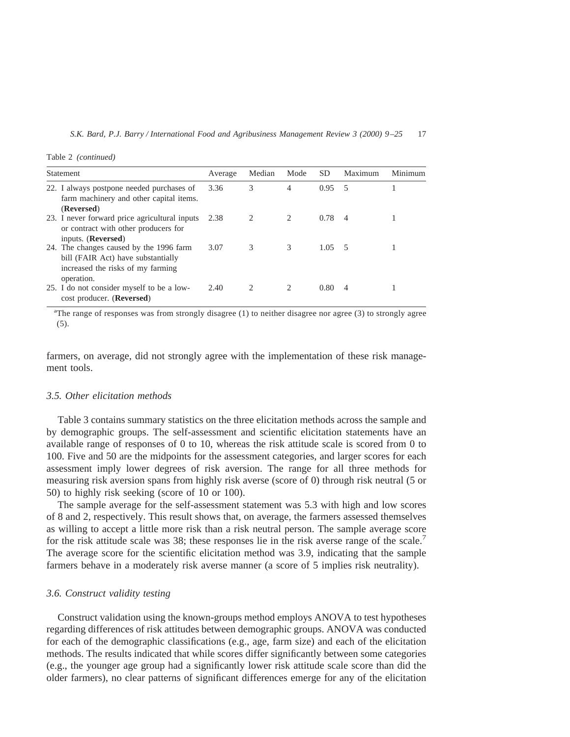Table 2 *(continued)*

| <b>Statement</b>                                                                                                                         | Average | Median                      | Mode                          | <b>SD</b>  | Maximum | Minimum |
|------------------------------------------------------------------------------------------------------------------------------------------|---------|-----------------------------|-------------------------------|------------|---------|---------|
| 22. I always postpone needed purchases of<br>farm machinery and other capital items.                                                     | 3.36    | 3                           | 4                             | $0.95 - 5$ |         |         |
| (Reversed)<br>23. I never forward price agricultural inputs<br>or contract with other producers for                                      | 2.38    | $\mathcal{D}_{\mathcal{L}}$ | 2                             | 0.78       | -4      |         |
| inputs. (Reversed)<br>24. The changes caused by the 1996 farm<br>bill (FAIR Act) have substantially<br>increased the risks of my farming | 3.07    | 3                           | 3                             | 1.05       | - 5     |         |
| operation.<br>25. I do not consider myself to be a low-<br>cost producer. (Reversed)                                                     | 2.40    |                             | $\mathfrak{D}_{\mathfrak{p}}$ | 0.80       |         |         |

<sup>a</sup>The range of responses was from strongly disagree (1) to neither disagree nor agree (3) to strongly agree (5).

farmers, on average, did not strongly agree with the implementation of these risk management tools.

#### *3.5. Other elicitation methods*

Table 3 contains summary statistics on the three elicitation methods across the sample and by demographic groups. The self-assessment and scientific elicitation statements have an available range of responses of 0 to 10, whereas the risk attitude scale is scored from 0 to 100. Five and 50 are the midpoints for the assessment categories, and larger scores for each assessment imply lower degrees of risk aversion. The range for all three methods for measuring risk aversion spans from highly risk averse (score of 0) through risk neutral (5 or 50) to highly risk seeking (score of 10 or 100).

The sample average for the self-assessment statement was 5.3 with high and low scores of 8 and 2, respectively. This result shows that, on average, the farmers assessed themselves as willing to accept a little more risk than a risk neutral person. The sample average score for the risk attitude scale was 38; these responses lie in the risk averse range of the scale.<sup>7</sup> The average score for the scientific elicitation method was 3.9, indicating that the sample farmers behave in a moderately risk averse manner (a score of 5 implies risk neutrality).

#### *3.6. Construct validity testing*

Construct validation using the known-groups method employs ANOVA to test hypotheses regarding differences of risk attitudes between demographic groups. ANOVA was conducted for each of the demographic classifications (e.g., age, farm size) and each of the elicitation methods. The results indicated that while scores differ significantly between some categories (e.g., the younger age group had a significantly lower risk attitude scale score than did the older farmers), no clear patterns of significant differences emerge for any of the elicitation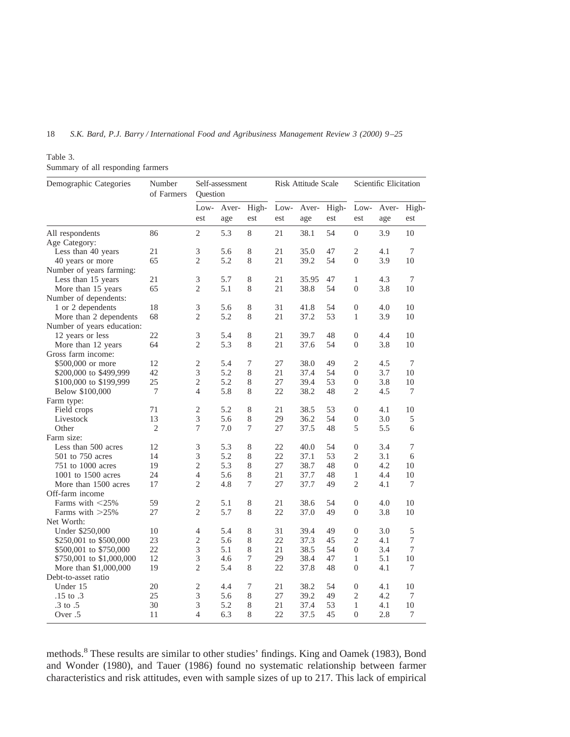## Table 3.

| Demographic Categories     | Number         | Self-assessment |       | <b>Risk Attitude Scale</b> |      |       | Scientific Elicitation |                  |       |        |
|----------------------------|----------------|-----------------|-------|----------------------------|------|-------|------------------------|------------------|-------|--------|
|                            | of Farmers     | <b>Ouestion</b> |       |                            |      |       |                        |                  |       |        |
|                            |                | Low-            | Aver- | High-                      | Low- | Aver- | High-                  | Low-             | Aver- | High-  |
|                            |                | est             | age   | est                        | est  | age   | est                    | est              | age   | est    |
| All respondents            | 86             | $\mathbf{2}$    | 5.3   | 8                          | 21   | 38.1  | 54                     | $\boldsymbol{0}$ | 3.9   | 10     |
| Age Category:              |                |                 |       |                            |      |       |                        |                  |       |        |
| Less than 40 years         | 21             | 3               | 5.6   | 8                          | 21   | 35.0  | 47                     | $\mathfrak{2}$   | 4.1   | $\tau$ |
| 40 years or more           | 65             | 2               | 5.2   | 8                          | 21   | 39.2  | 54                     | $\boldsymbol{0}$ | 3.9   | 10     |
| Number of years farming:   |                |                 |       |                            |      |       |                        |                  |       |        |
| Less than 15 years         | 21             | $\mathfrak 3$   | 5.7   | 8                          | 21   | 35.95 | 47                     | $\mathbf{1}$     | 4.3   | $\tau$ |
| More than 15 years         | 65             | $\overline{2}$  | 5.1   | 8                          | 21   | 38.8  | 54                     | $\mathbf{0}$     | 3.8   | 10     |
| Number of dependents:      |                |                 |       |                            |      |       |                        |                  |       |        |
| 1 or 2 dependents          | 18             | 3               | 5.6   | 8                          | 31   | 41.8  | 54                     | $\boldsymbol{0}$ | 4.0   | 10     |
| More than 2 dependents     | 68             | $\overline{c}$  | 5.2   | 8                          | 21   | 37.2  | 53                     | $\mathbf{1}$     | 3.9   | 10     |
| Number of years education: |                |                 |       |                            |      |       |                        |                  |       |        |
| 12 years or less           | 22             | 3               | 5.4   | 8                          | 21   | 39.7  | 48                     | $\boldsymbol{0}$ | 4.4   | 10     |
| More than 12 years         | 64             | $\overline{2}$  | 5.3   | 8                          | 21   | 37.6  | 54                     | $\boldsymbol{0}$ | 3.8   | 10     |
| Gross farm income:         |                |                 |       |                            |      |       |                        |                  |       |        |
| \$500,000 or more          | 12             | $\mathfrak{2}$  | 5.4   | 7                          | 27   | 38.0  | 49                     | $\mathfrak{2}$   | 4.5   | $\tau$ |
| \$200,000 to \$499,999     | 42             | 3               | 5.2   | 8                          | 21   | 37.4  | 54                     | $\mathbf{0}$     | 3.7   | 10     |
| \$100,000 to \$199,999     | 25             | $\overline{c}$  | 5.2   | $8\,$                      | 27   | 39.4  | 53                     | $\theta$         | 3.8   | 10     |
| Below \$100,000            | 7              | $\overline{4}$  | 5.8   | 8                          | 22   | 38.2  | 48                     | $\overline{2}$   | 4.5   | $\tau$ |
| Farm type:                 |                |                 |       |                            |      |       |                        |                  |       |        |
| Field crops                | 71             | $\mathfrak{2}$  | 5.2   | 8                          | 21   | 38.5  | 53                     | $\boldsymbol{0}$ | 4.1   | 10     |
| Livestock                  | 13             | 3               | 5.6   | $8\,$                      | 29   | 36.2  | 54                     | $\boldsymbol{0}$ | 3.0   | 5      |
| Other                      | $\overline{2}$ | $\tau$          | 7.0   | 7                          | 27   | 37.5  | 48                     | 5                | 5.5   | 6      |
| Farm size:                 |                |                 |       |                            |      |       |                        |                  |       |        |
| Less than 500 acres        | 12             | 3               | 5.3   | 8                          | 22   | 40.0  | 54                     | $\boldsymbol{0}$ | 3.4   | 7      |
| 501 to 750 acres           | 14             | 3               | 5.2   | 8                          | 22   | 37.1  | 53                     | $\overline{2}$   | 3.1   | 6      |
| 751 to 1000 acres          | 19             | $\overline{2}$  | 5.3   | 8                          | 27   | 38.7  | 48                     | $\theta$         | 4.2   | 10     |
| 1001 to 1500 acres         | 24             | $\overline{4}$  | 5.6   | 8                          | 21   | 37.7  | 48                     | $\mathbf{1}$     | 4.4   | 10     |
| More than 1500 acres       | 17             | $\overline{2}$  | 4.8   | 7                          | 27   | 37.7  | 49                     | $\overline{2}$   | 4.1   | 7      |
| Off-farm income            |                |                 |       |                            |      |       |                        |                  |       |        |
| Farms with $\leq$ 25%      | 59             | $\mathfrak{2}$  | 5.1   | 8                          | 21   | 38.6  | 54                     | $\overline{0}$   | 4.0   | 10     |
| Farms with $>25\%$         | 27             | 2               | 5.7   | 8                          | 22   | 37.0  | 49                     | $\overline{0}$   | 3.8   | 10     |
| Net Worth:                 |                |                 |       |                            |      |       |                        |                  |       |        |
| Under \$250,000            | 10             | $\overline{4}$  | 5.4   | $8\,$                      | 31   | 39.4  | 49                     | $\boldsymbol{0}$ | 3.0   | 5      |
| \$250,001 to \$500,000     | 23             | $\mathfrak{2}$  | 5.6   | 8                          | 22   | 37.3  | 45                     | $\overline{2}$   | 4.1   | 7      |
| \$500,001 to \$750,000     | 22             | 3               | 5.1   | 8                          | 21   | 38.5  | 54                     | $\overline{0}$   | 3.4   | 7      |
| \$750,001 to \$1,000,000   | 12             | 3               | 4.6   | 7                          | 29   | 38.4  | 47                     | $\mathbf{1}$     | 5.1   | 10     |
| More than \$1,000,000      | 19             | $\overline{2}$  | 5.4   | $8\,$                      | 22   | 37.8  | 48                     | $\boldsymbol{0}$ | 4.1   | 7      |
| Debt-to-asset ratio        |                |                 |       |                            |      |       |                        |                  |       |        |
| Under 15                   | 20             | $\mathfrak{2}$  | 4.4   | 7                          | 21   | 38.2  | 54                     | $\boldsymbol{0}$ | 4.1   | 10     |
| .15 to .3                  | 25             | 3               | 5.6   | 8                          | 27   | 39.2  | 49                     | $\mathfrak{2}$   | 4.2   | 7      |
| .3 to .5                   | 30             | 3               | 5.2   | 8                          | 21   | 37.4  | 53                     | $\mathbf{1}$     | 4.1   | 10     |
| Over .5                    | 11             | 4               | 6.3   | 8                          | 22   | 37.5  | 45                     | $\theta$         | 2.8   | 7      |
|                            |                |                 |       |                            |      |       |                        |                  |       |        |

methods.8 These results are similar to other studies' findings. King and Oamek (1983), Bond and Wonder (1980), and Tauer (1986) found no systematic relationship between farmer characteristics and risk attitudes, even with sample sizes of up to 217. This lack of empirical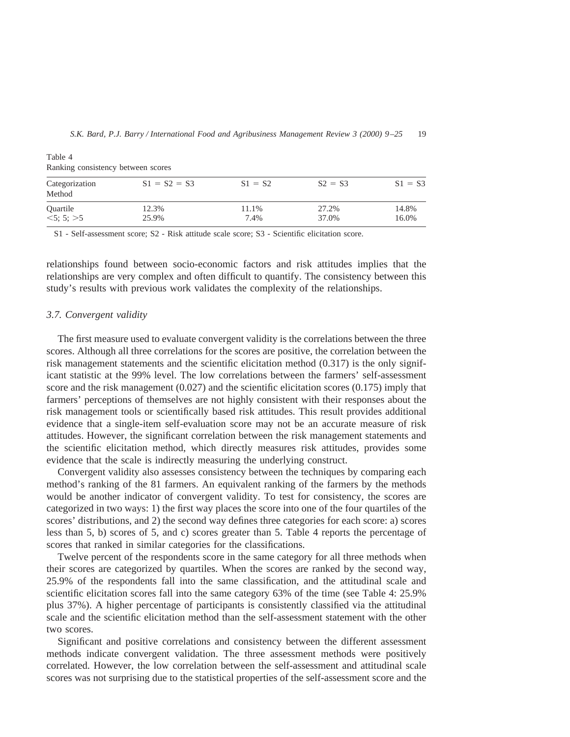| Ranking consistency between scores |                |               |                |                |  |  |  |  |
|------------------------------------|----------------|---------------|----------------|----------------|--|--|--|--|
| Categorization<br>Method           | $S1 = S2 = S3$ | $S_1 = S_2$   | $S2 = S3$      | $S_1 = S_3$    |  |  |  |  |
| Quartile<br>$5:5$ ; $>5$           | 12.3%<br>25.9% | 11.1%<br>7.4% | 27.2%<br>37.0% | 14.8%<br>16.0% |  |  |  |  |

Table 4

S1 - Self-assessment score; S2 - Risk attitude scale score; S3 - Scientific elicitation score.

relationships found between socio-economic factors and risk attitudes implies that the relationships are very complex and often difficult to quantify. The consistency between this study's results with previous work validates the complexity of the relationships.

#### *3.7. Convergent validity*

The first measure used to evaluate convergent validity is the correlations between the three scores. Although all three correlations for the scores are positive, the correlation between the risk management statements and the scientific elicitation method (0.317) is the only significant statistic at the 99% level. The low correlations between the farmers' self-assessment score and the risk management (0.027) and the scientific elicitation scores (0.175) imply that farmers' perceptions of themselves are not highly consistent with their responses about the risk management tools or scientifically based risk attitudes. This result provides additional evidence that a single-item self-evaluation score may not be an accurate measure of risk attitudes. However, the significant correlation between the risk management statements and the scientific elicitation method, which directly measures risk attitudes, provides some evidence that the scale is indirectly measuring the underlying construct.

Convergent validity also assesses consistency between the techniques by comparing each method's ranking of the 81 farmers. An equivalent ranking of the farmers by the methods would be another indicator of convergent validity. To test for consistency, the scores are categorized in two ways: 1) the first way places the score into one of the four quartiles of the scores' distributions, and 2) the second way defines three categories for each score: a) scores less than 5, b) scores of 5, and c) scores greater than 5. Table 4 reports the percentage of scores that ranked in similar categories for the classifications.

Twelve percent of the respondents score in the same category for all three methods when their scores are categorized by quartiles. When the scores are ranked by the second way, 25.9% of the respondents fall into the same classification, and the attitudinal scale and scientific elicitation scores fall into the same category 63% of the time (see Table 4: 25.9% plus 37%). A higher percentage of participants is consistently classified via the attitudinal scale and the scientific elicitation method than the self-assessment statement with the other two scores.

Significant and positive correlations and consistency between the different assessment methods indicate convergent validation. The three assessment methods were positively correlated. However, the low correlation between the self-assessment and attitudinal scale scores was not surprising due to the statistical properties of the self-assessment score and the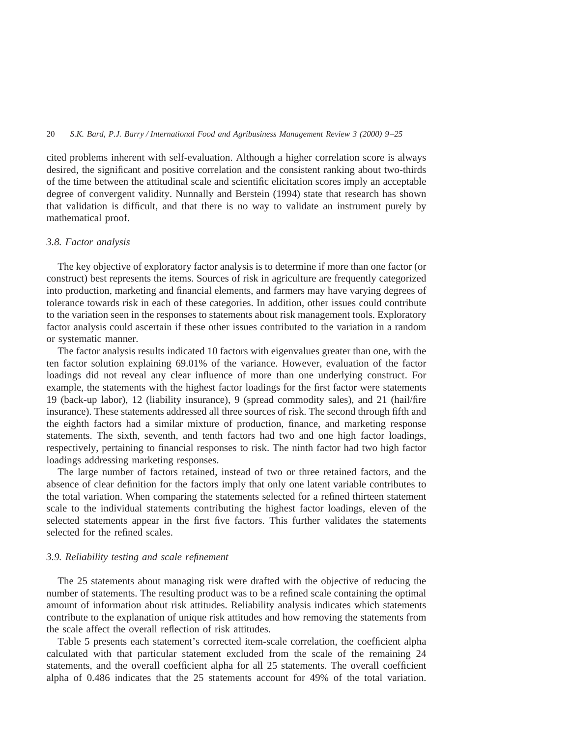cited problems inherent with self-evaluation. Although a higher correlation score is always desired, the significant and positive correlation and the consistent ranking about two-thirds of the time between the attitudinal scale and scientific elicitation scores imply an acceptable degree of convergent validity. Nunnally and Berstein (1994) state that research has shown that validation is difficult, and that there is no way to validate an instrument purely by mathematical proof.

## *3.8. Factor analysis*

The key objective of exploratory factor analysis is to determine if more than one factor (or construct) best represents the items. Sources of risk in agriculture are frequently categorized into production, marketing and financial elements, and farmers may have varying degrees of tolerance towards risk in each of these categories. In addition, other issues could contribute to the variation seen in the responses to statements about risk management tools. Exploratory factor analysis could ascertain if these other issues contributed to the variation in a random or systematic manner.

The factor analysis results indicated 10 factors with eigenvalues greater than one, with the ten factor solution explaining 69.01% of the variance. However, evaluation of the factor loadings did not reveal any clear influence of more than one underlying construct. For example, the statements with the highest factor loadings for the first factor were statements 19 (back-up labor), 12 (liability insurance), 9 (spread commodity sales), and 21 (hail/fire insurance). These statements addressed all three sources of risk. The second through fifth and the eighth factors had a similar mixture of production, finance, and marketing response statements. The sixth, seventh, and tenth factors had two and one high factor loadings, respectively, pertaining to financial responses to risk. The ninth factor had two high factor loadings addressing marketing responses.

The large number of factors retained, instead of two or three retained factors, and the absence of clear definition for the factors imply that only one latent variable contributes to the total variation. When comparing the statements selected for a refined thirteen statement scale to the individual statements contributing the highest factor loadings, eleven of the selected statements appear in the first five factors. This further validates the statements selected for the refined scales.

#### *3.9. Reliability testing and scale refinement*

The 25 statements about managing risk were drafted with the objective of reducing the number of statements. The resulting product was to be a refined scale containing the optimal amount of information about risk attitudes. Reliability analysis indicates which statements contribute to the explanation of unique risk attitudes and how removing the statements from the scale affect the overall reflection of risk attitudes.

Table 5 presents each statement's corrected item-scale correlation, the coefficient alpha calculated with that particular statement excluded from the scale of the remaining 24 statements, and the overall coefficient alpha for all 25 statements. The overall coefficient alpha of 0.486 indicates that the 25 statements account for 49% of the total variation.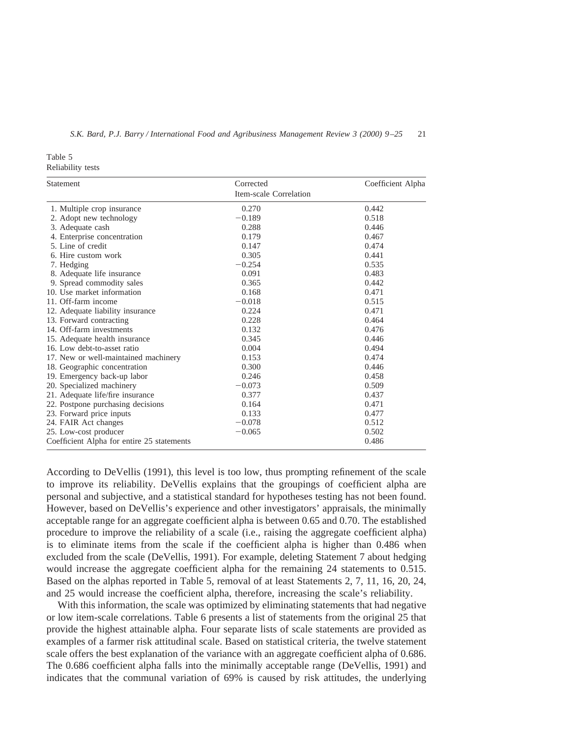| Table 5           |  |
|-------------------|--|
| Reliability tests |  |

| Statement                                  | Corrected              | Coefficient Alpha |
|--------------------------------------------|------------------------|-------------------|
|                                            | Item-scale Correlation |                   |
| 1. Multiple crop insurance                 | 0.270                  | 0.442             |
| 2. Adopt new technology                    | $-0.189$               | 0.518             |
| 3. Adequate cash                           | 0.288                  | 0.446             |
| 4. Enterprise concentration                | 0.179                  | 0.467             |
| 5. Line of credit                          | 0.147                  | 0.474             |
| 6. Hire custom work                        | 0.305                  | 0.441             |
| 7. Hedging                                 | $-0.254$               | 0.535             |
| 8. Adequate life insurance                 | 0.091                  | 0.483             |
| 9. Spread commodity sales                  | 0.365                  | 0.442             |
| 10. Use market information                 | 0.168                  | 0.471             |
| 11. Off-farm income                        | $-0.018$               | 0.515             |
| 12. Adequate liability insurance           | 0.224                  | 0.471             |
| 13. Forward contracting                    | 0.228                  | 0.464             |
| 14. Off-farm investments                   | 0.132                  | 0.476             |
| 15. Adequate health insurance              | 0.345                  | 0.446             |
| 16. Low debt-to-asset ratio                | 0.004                  | 0.494             |
| 17. New or well-maintained machinery       | 0.153                  | 0.474             |
| 18. Geographic concentration               | 0.300                  | 0.446             |
| 19. Emergency back-up labor                | 0.246                  | 0.458             |
| 20. Specialized machinery                  | $-0.073$               | 0.509             |
| 21. Adequate life/fire insurance           | 0.377                  | 0.437             |
| 22. Postpone purchasing decisions          | 0.164                  | 0.471             |
| 23. Forward price inputs                   | 0.133                  | 0.477             |
| 24. FAIR Act changes                       | $-0.078$               | 0.512             |
| 25. Low-cost producer                      | $-0.065$               | 0.502             |
| Coefficient Alpha for entire 25 statements |                        | 0.486             |

According to DeVellis (1991), this level is too low, thus prompting refinement of the scale to improve its reliability. DeVellis explains that the groupings of coefficient alpha are personal and subjective, and a statistical standard for hypotheses testing has not been found. However, based on DeVellis's experience and other investigators' appraisals, the minimally acceptable range for an aggregate coefficient alpha is between 0.65 and 0.70. The established procedure to improve the reliability of a scale (i.e., raising the aggregate coefficient alpha) is to eliminate items from the scale if the coefficient alpha is higher than 0.486 when excluded from the scale (DeVellis, 1991). For example, deleting Statement 7 about hedging would increase the aggregate coefficient alpha for the remaining 24 statements to 0.515. Based on the alphas reported in Table 5, removal of at least Statements 2, 7, 11, 16, 20, 24, and 25 would increase the coefficient alpha, therefore, increasing the scale's reliability.

With this information, the scale was optimized by eliminating statements that had negative or low item-scale correlations. Table 6 presents a list of statements from the original 25 that provide the highest attainable alpha. Four separate lists of scale statements are provided as examples of a farmer risk attitudinal scale. Based on statistical criteria, the twelve statement scale offers the best explanation of the variance with an aggregate coefficient alpha of 0.686. The 0.686 coefficient alpha falls into the minimally acceptable range (DeVellis, 1991) and indicates that the communal variation of 69% is caused by risk attitudes, the underlying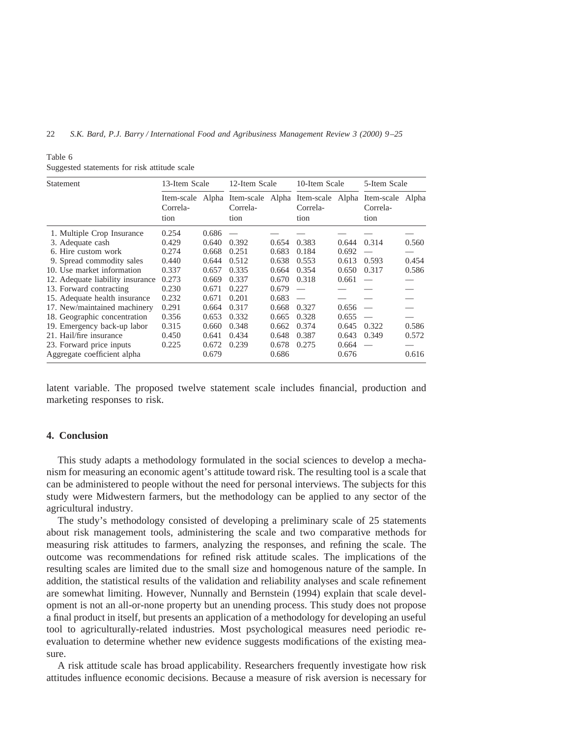| <b>Statement</b>                 | 13-Item Scale                  |       | 12-Item Scale    |       | 10-Item Scale                                               |       | 5-Item Scale                         |       |
|----------------------------------|--------------------------------|-------|------------------|-------|-------------------------------------------------------------|-------|--------------------------------------|-------|
|                                  | Item-scale<br>Correla-<br>tion |       | Correla-<br>tion |       | Alpha Item-scale Alpha Item-scale Alpha<br>Correla-<br>tion |       | Item-scale Alpha<br>Correla-<br>tion |       |
| 1. Multiple Crop Insurance       | 0.254                          | 0.686 |                  |       |                                                             |       |                                      |       |
| 3. Adequate cash                 | 0.429                          | 0.640 | 0.392            | 0.654 | 0.383                                                       | 0.644 | 0.314                                | 0.560 |
| 6. Hire custom work              | 0.274                          | 0.668 | 0.251            | 0.683 | 0.184                                                       | 0.692 |                                      |       |
| 9. Spread commodity sales        | 0.440                          | 0.644 | 0.512            | 0.638 | 0.553                                                       | 0.613 | 0.593                                | 0.454 |
| 10. Use market information       | 0.337                          | 0.657 | 0.335            | 0.664 | 0.354                                                       | 0.650 | 0.317                                | 0.586 |
| 12. Adequate liability insurance | 0.273                          | 0.669 | 0.337            | 0.670 | 0.318                                                       | 0.661 |                                      |       |
| 13. Forward contracting          | 0.230                          | 0.671 | 0.227            | 0.679 | $\frac{1}{2}$                                               |       |                                      |       |
| 15. Adequate health insurance    | 0.232                          | 0.671 | 0.201            | 0.683 |                                                             |       |                                      |       |
| 17. New/maintained machinery     | 0.291                          | 0.664 | 0.317            | 0.668 | 0.327                                                       | 0.656 | $\overline{\phantom{m}}$             |       |
| 18. Geographic concentration     | 0.356                          | 0.653 | 0.332            | 0.665 | 0.328                                                       | 0.655 |                                      |       |
| 19. Emergency back-up labor      | 0.315                          | 0.660 | 0.348            | 0.662 | 0.374                                                       | 0.645 | 0.322                                | 0.586 |
| 21. Hail/fire insurance          | 0.450                          | 0.641 | 0.434            | 0.648 | 0.387                                                       | 0.643 | 0.349                                | 0.572 |
| 23. Forward price inputs         | 0.225                          | 0.672 | 0.239            | 0.678 | 0.275                                                       | 0.664 |                                      |       |
| Aggregate coefficient alpha      |                                | 0.679 |                  | 0.686 |                                                             | 0.676 |                                      | 0.616 |

Table 6 Suggested statements for risk attitude scale

latent variable. The proposed twelve statement scale includes financial, production and marketing responses to risk.

## **4. Conclusion**

This study adapts a methodology formulated in the social sciences to develop a mechanism for measuring an economic agent's attitude toward risk. The resulting tool is a scale that can be administered to people without the need for personal interviews. The subjects for this study were Midwestern farmers, but the methodology can be applied to any sector of the agricultural industry.

The study's methodology consisted of developing a preliminary scale of 25 statements about risk management tools, administering the scale and two comparative methods for measuring risk attitudes to farmers, analyzing the responses, and refining the scale. The outcome was recommendations for refined risk attitude scales. The implications of the resulting scales are limited due to the small size and homogenous nature of the sample. In addition, the statistical results of the validation and reliability analyses and scale refinement are somewhat limiting. However, Nunnally and Bernstein (1994) explain that scale development is not an all-or-none property but an unending process. This study does not propose a final product in itself, but presents an application of a methodology for developing an useful tool to agriculturally-related industries. Most psychological measures need periodic reevaluation to determine whether new evidence suggests modifications of the existing measure.

A risk attitude scale has broad applicability. Researchers frequently investigate how risk attitudes influence economic decisions. Because a measure of risk aversion is necessary for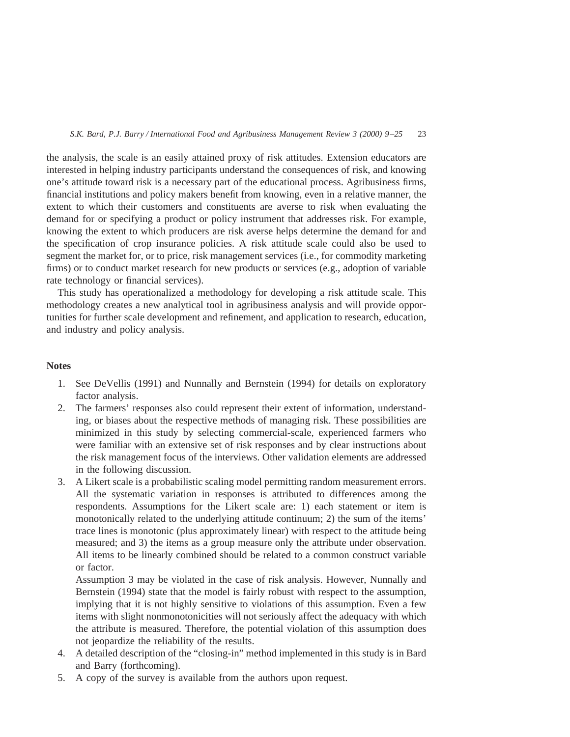the analysis, the scale is an easily attained proxy of risk attitudes. Extension educators are interested in helping industry participants understand the consequences of risk, and knowing one's attitude toward risk is a necessary part of the educational process. Agribusiness firms, financial institutions and policy makers benefit from knowing, even in a relative manner, the extent to which their customers and constituents are averse to risk when evaluating the demand for or specifying a product or policy instrument that addresses risk. For example, knowing the extent to which producers are risk averse helps determine the demand for and the specification of crop insurance policies. A risk attitude scale could also be used to segment the market for, or to price, risk management services (i.e., for commodity marketing firms) or to conduct market research for new products or services (e.g., adoption of variable rate technology or financial services).

This study has operationalized a methodology for developing a risk attitude scale. This methodology creates a new analytical tool in agribusiness analysis and will provide opportunities for further scale development and refinement, and application to research, education, and industry and policy analysis.

## **Notes**

- 1. See DeVellis (1991) and Nunnally and Bernstein (1994) for details on exploratory factor analysis.
- 2. The farmers' responses also could represent their extent of information, understanding, or biases about the respective methods of managing risk. These possibilities are minimized in this study by selecting commercial-scale, experienced farmers who were familiar with an extensive set of risk responses and by clear instructions about the risk management focus of the interviews. Other validation elements are addressed in the following discussion.
- 3. A Likert scale is a probabilistic scaling model permitting random measurement errors. All the systematic variation in responses is attributed to differences among the respondents. Assumptions for the Likert scale are: 1) each statement or item is monotonically related to the underlying attitude continuum; 2) the sum of the items' trace lines is monotonic (plus approximately linear) with respect to the attitude being measured; and 3) the items as a group measure only the attribute under observation. All items to be linearly combined should be related to a common construct variable or factor.

Assumption 3 may be violated in the case of risk analysis. However, Nunnally and Bernstein (1994) state that the model is fairly robust with respect to the assumption, implying that it is not highly sensitive to violations of this assumption. Even a few items with slight nonmonotonicities will not seriously affect the adequacy with which the attribute is measured. Therefore, the potential violation of this assumption does not jeopardize the reliability of the results.

- 4. A detailed description of the "closing-in" method implemented in this study is in Bard and Barry (forthcoming).
- 5. A copy of the survey is available from the authors upon request.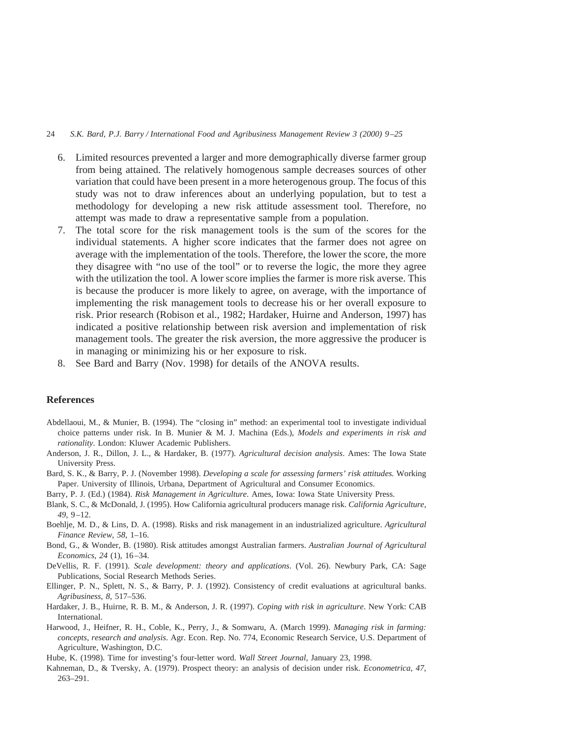#### 24 *S.K. Bard, P.J. Barry / International Food and Agribusiness Management Review 3 (2000) 9–25*

- 6. Limited resources prevented a larger and more demographically diverse farmer group from being attained. The relatively homogenous sample decreases sources of other variation that could have been present in a more heterogenous group. The focus of this study was not to draw inferences about an underlying population, but to test a methodology for developing a new risk attitude assessment tool. Therefore, no attempt was made to draw a representative sample from a population.
- 7. The total score for the risk management tools is the sum of the scores for the individual statements. A higher score indicates that the farmer does not agree on average with the implementation of the tools. Therefore, the lower the score, the more they disagree with "no use of the tool" or to reverse the logic, the more they agree with the utilization the tool. A lower score implies the farmer is more risk averse. This is because the producer is more likely to agree, on average, with the importance of implementing the risk management tools to decrease his or her overall exposure to risk. Prior research (Robison et al., 1982; Hardaker, Huirne and Anderson, 1997) has indicated a positive relationship between risk aversion and implementation of risk management tools. The greater the risk aversion, the more aggressive the producer is in managing or minimizing his or her exposure to risk.
- 8. See Bard and Barry (Nov. 1998) for details of the ANOVA results.

#### **References**

- Abdellaoui, M., & Munier, B. (1994). The "closing in" method: an experimental tool to investigate individual choice patterns under risk. In B. Munier & M. J. Machina (Eds.), *Models and experiments in risk and rationality*. London: Kluwer Academic Publishers.
- Anderson, J. R., Dillon, J. L., & Hardaker, B. (1977). *Agricultural decision analysis*. Ames: The Iowa State University Press.
- Bard, S. K., & Barry, P. J. (November 1998). *Developing a scale for assessing farmers' risk attitudes.* Working Paper. University of Illinois, Urbana, Department of Agricultural and Consumer Economics.
- Barry, P. J. (Ed.) (1984). *Risk Management in Agriculture*. Ames, Iowa: Iowa State University Press.
- Blank, S. C., & McDonald, J. (1995). How California agricultural producers manage risk. *California Agriculture*, *49*, 9–12.
- Boehlje, M. D., & Lins, D. A. (1998). Risks and risk management in an industrialized agriculture. *Agricultural Finance Review*, *58*, 1–16.
- Bond, G., & Wonder, B. (1980). Risk attitudes amongst Australian farmers. *Australian Journal of Agricultural Economics*, *24* (1), 16–34.
- DeVellis, R. F. (1991). *Scale development: theory and applications*. (Vol. 26). Newbury Park, CA: Sage Publications, Social Research Methods Series.
- Ellinger, P. N., Splett, N. S., & Barry, P. J. (1992). Consistency of credit evaluations at agricultural banks. *Agribusiness*, *8*, 517–536.
- Hardaker, J. B., Huirne, R. B. M., & Anderson, J. R. (1997). *Coping with risk in agriculture*. New York: CAB International.
- Harwood, J., Heifner, R. H., Coble, K., Perry, J., & Somwaru, A. (March 1999). *Managing risk in farming: concepts, research and analysis*. Agr. Econ. Rep. No. 774, Economic Research Service, U.S. Department of Agriculture, Washington, D.C.
- Hube, K. (1998). Time for investing's four-letter word. *Wall Street Journal*, January 23, 1998.
- Kahneman, D., & Tversky, A. (1979). Prospect theory: an analysis of decision under risk. *Econometrica*, *47*, 263–291.